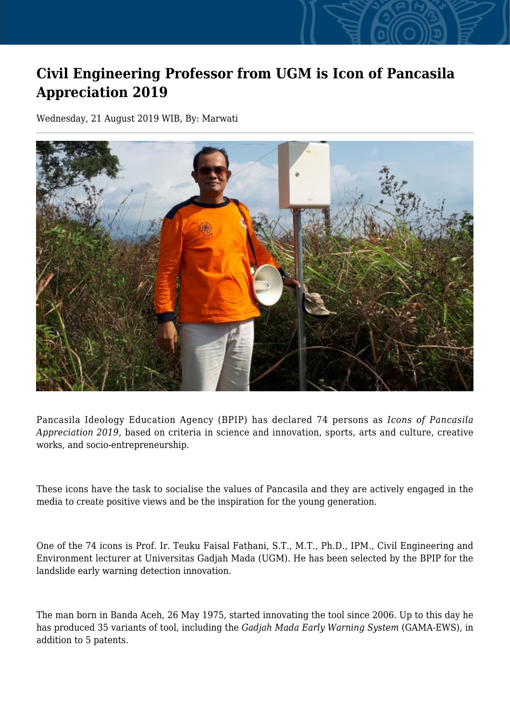## **Civil Engineering Professor from UGM is Icon of Pancasila Appreciation 2019**

Wednesday, 21 August 2019 WIB, By: Marwati



Pancasila Ideology Education Agency (BPIP) has declared 74 persons as *Icons of Pancasila Appreciation 2019*, based on criteria in science and innovation, sports, arts and culture, creative works, and socio-entrepreneurship.

These icons have the task to socialise the values of Pancasila and they are actively engaged in the media to create positive views and be the inspiration for the young generation.

One of the 74 icons is Prof. Ir. Teuku Faisal Fathani, S.T., M.T., Ph.D., IPM., Civil Engineering and Environment lecturer at Universitas Gadjah Mada (UGM). He has been selected by the BPIP for the landslide early warning detection innovation.

The man born in Banda Aceh, 26 May 1975, started innovating the tool since 2006. Up to this day he has produced 35 variants of tool, including the *Gadjah Mada Early Warning System* (GAMA-EWS), in addition to 5 patents.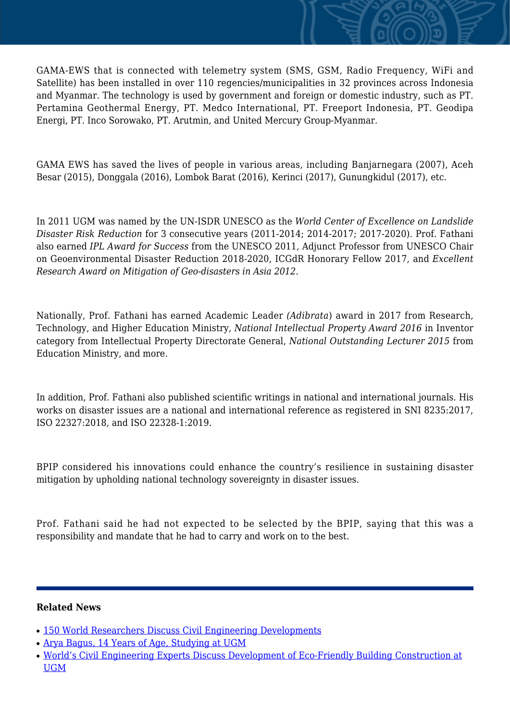GAMA-EWS that is connected with telemetry system (SMS, GSM, Radio Frequency, WiFi and Satellite) has been installed in over 110 regencies/municipalities in 32 provinces across Indonesia and Myanmar. The technology is used by government and foreign or domestic industry, such as PT. Pertamina Geothermal Energy, PT. Medco International, PT. Freeport Indonesia, PT. Geodipa Energi, PT. Inco Sorowako, PT. Arutmin, and United Mercury Group-Myanmar.

GAMA EWS has saved the lives of people in various areas, including Banjarnegara (2007), Aceh Besar (2015), Donggala (2016), Lombok Barat (2016), Kerinci (2017), Gunungkidul (2017), etc.

In 2011 UGM was named by the UN-ISDR UNESCO as the *World Center of Excellence on Landslide Disaster Risk Reduction* for 3 consecutive years (2011-2014; 2014-2017; 2017-2020). Prof. Fathani also earned *IPL Award for Success* from the UNESCO 2011, Adjunct Professor from UNESCO Chair on Geoenvironmental Disaster Reduction 2018-2020, ICGdR Honorary Fellow 2017, and *Excellent Research Award on Mitigation of Geo-disasters in Asia 2012*.

Nationally, Prof. Fathani has earned Academic Leader *(Adibrata*) award in 2017 from Research, Technology, and Higher Education Ministry, *National Intellectual Property Award 2016* in Inventor category from Intellectual Property Directorate General, *National Outstanding Lecturer 2015* from Education Ministry, and more.

In addition, Prof. Fathani also published scientific writings in national and international journals. His works on disaster issues are a national and international reference as registered in SNI 8235:2017, ISO 22327:2018, and ISO 22328-1:2019.

BPIP considered his innovations could enhance the country's resilience in sustaining disaster mitigation by upholding national technology sovereignty in disaster issues.

Prof. Fathani said he had not expected to be selected by the BPIP, saying that this was a responsibility and mandate that he had to carry and work on to the best.

## **Related News**

- [150 World Researchers Discuss Civil Engineering Developments](http://ugm.ac.id/www.ugm.ac.id//en/news/7328-world-s-civil-engineering-experts-discuss-development-of-eco-friendly-building-construction-at-ugm)
- [Arya Bagus, 14 Years of Age, Studying at UGM](http://ugm.ac.id/www.ugm.ac.id//en/news/6332-prof-kaelan-retired-ugm-professors-totaled-438-people)
- [World's Civil Engineering Experts Discuss Development of Eco-Friendly Building Construction at](http://ugm.ac.id/www.ugm.ac.id//en/news/15075-1-487-ugm-staff-take-oath) [UGM](http://ugm.ac.id/www.ugm.ac.id//en/news/15075-1-487-ugm-staff-take-oath)